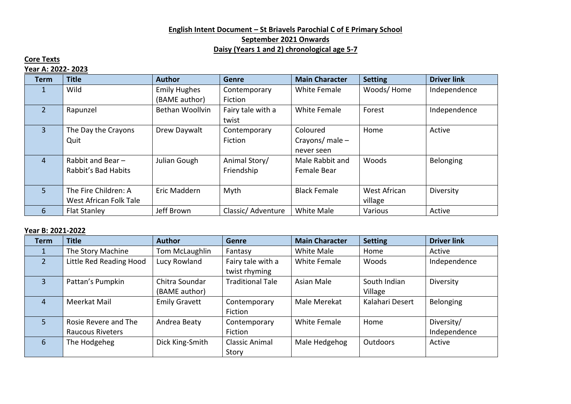# **English Intent Document – St Briavels Parochial C of E Primary School September 2021 Onwards Daisy (Years 1 and 2) chronological age 5-7**

# **Core Texts**

### **Year A: 2022- 2023**

| <b>Term</b>    | <b>Title</b>           | <b>Author</b>       | <b>Genre</b>      | <b>Main Character</b> | <b>Setting</b> | <b>Driver link</b> |
|----------------|------------------------|---------------------|-------------------|-----------------------|----------------|--------------------|
| 1              | Wild                   | <b>Emily Hughes</b> | Contemporary      | White Female          | Woods/Home     | Independence       |
|                |                        | (BAME author)       | Fiction           |                       |                |                    |
| $\overline{2}$ | Rapunzel               | Bethan Woollvin     | Fairy tale with a | <b>White Female</b>   | Forest         | Independence       |
|                |                        |                     | twist             |                       |                |                    |
| $\overline{3}$ | The Day the Crayons    | Drew Daywalt        | Contemporary      | Coloured              | Home           | Active             |
|                | Quit                   |                     | Fiction           | Crayons/ male $-$     |                |                    |
|                |                        |                     |                   | never seen            |                |                    |
| $\overline{4}$ | Rabbit and Bear-       | Julian Gough        | Animal Story/     | Male Rabbit and       | Woods          | Belonging          |
|                | Rabbit's Bad Habits    |                     | Friendship        | <b>Female Bear</b>    |                |                    |
|                |                        |                     |                   |                       |                |                    |
| 5 <sup>1</sup> | The Fire Children: A   | Eric Maddern        | Myth              | <b>Black Female</b>   | West African   | Diversity          |
|                | West African Folk Tale |                     |                   |                       | village        |                    |
| 6              | <b>Flat Stanley</b>    | Jeff Brown          | Classic/Adventure | White Male            | Various        | Active             |

### **Year B: 2021-2022**

| <b>Term</b>   | <b>Title</b>            | <b>Author</b>                   | <b>Genre</b>                       | <b>Main Character</b> | <b>Setting</b>          | <b>Driver link</b> |
|---------------|-------------------------|---------------------------------|------------------------------------|-----------------------|-------------------------|--------------------|
|               | The Story Machine       | Tom McLaughlin                  | Fantasy                            | White Male            | Home                    | Active             |
| $\mathcal{P}$ | Little Red Reading Hood | Lucy Rowland                    | Fairy tale with a<br>twist rhyming | <b>White Female</b>   | Woods                   | Independence       |
| 3             | Pattan's Pumpkin        | Chitra Soundar<br>(BAME author) | <b>Traditional Tale</b>            | Asian Male            | South Indian<br>Village | Diversity          |
| 4             | Meerkat Mail            | <b>Emily Gravett</b>            | Contemporary<br>Fiction            | Male Merekat          | Kalahari Desert         | Belonging          |
| 5.            | Rosie Revere and The    | Andrea Beaty                    | Contemporary                       | White Female          | Home                    | Diversity/         |
|               | <b>Raucous Riveters</b> |                                 | Fiction                            |                       |                         | Independence       |
| 6             | The Hodgeheg            | Dick King-Smith                 | <b>Classic Animal</b>              | Male Hedgehog         | Outdoors                | Active             |
|               |                         |                                 | Story                              |                       |                         |                    |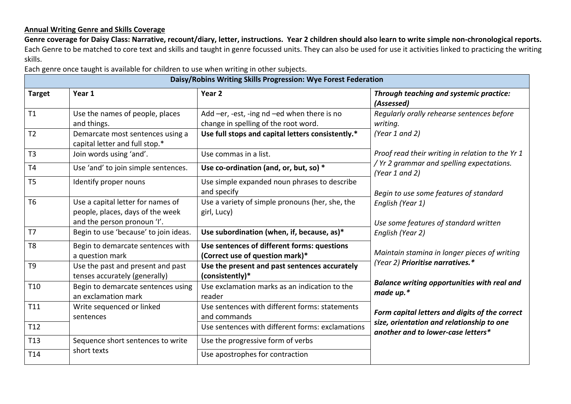### **Annual Writing Genre and Skills Coverage**

**Genre coverage for Daisy Class: Narrative, recount/diary, letter, instructions. Year 2 children should also learn to write simple non-chronological reports.**  Each Genre to be matched to core text and skills and taught in genre focussed units. They can also be used for use it activities linked to practicing the writing skills.

Each genre once taught is available for children to use when writing in other subjects.

| Daisy/Robins Writing Skills Progression: Wye Forest Federation |                                                                                                      |                                                                                     |                                                                                  |  |  |
|----------------------------------------------------------------|------------------------------------------------------------------------------------------------------|-------------------------------------------------------------------------------------|----------------------------------------------------------------------------------|--|--|
| <b>Target</b>                                                  | Year 1                                                                                               | Year <sub>2</sub>                                                                   | Through teaching and systemic practice:<br>(Assessed)                            |  |  |
| T1                                                             | Use the names of people, places<br>and things.                                                       | Add -er, -est, -ing nd -ed when there is no<br>change in spelling of the root word. | Regularly orally rehearse sentences before<br>writing.                           |  |  |
| T <sub>2</sub>                                                 | Demarcate most sentences using a<br>capital letter and full stop.*                                   | Use full stops and capital letters consistently.*                                   | (Year 1 and 2)                                                                   |  |  |
| T3                                                             | Join words using 'and'.                                                                              | Use commas in a list.                                                               | Proof read their writing in relation to the Yr 1                                 |  |  |
| <b>T4</b>                                                      | Use 'and' to join simple sentences.                                                                  | Use co-ordination (and, or, but, so) *                                              | / Yr 2 grammar and spelling expectations.<br>(Year 1 and 2)                      |  |  |
| T <sub>5</sub>                                                 | Identify proper nouns                                                                                | Use simple expanded noun phrases to describe<br>and specify                         | Begin to use some features of standard                                           |  |  |
| T <sub>6</sub>                                                 | Use a capital letter for names of<br>people, places, days of the week<br>and the person pronoun 'I'. | Use a variety of simple pronouns (her, she, the<br>girl, Lucy)                      | English (Year 1)<br>Use some features of standard written                        |  |  |
| T <sub>7</sub>                                                 | Begin to use 'because' to join ideas.                                                                | Use subordination (when, if, because, as)*                                          | English (Year 2)                                                                 |  |  |
| T <sub>8</sub>                                                 | Begin to demarcate sentences with<br>a question mark                                                 | Use sentences of different forms: questions<br>(Correct use of question mark)*      | Maintain stamina in longer pieces of writing<br>(Year 2) Prioritise narratives.* |  |  |
| T <sub>9</sub>                                                 | Use the past and present and past<br>tenses accurately (generally)                                   | Use the present and past sentences accurately<br>(consistently)*                    |                                                                                  |  |  |
| T <sub>10</sub>                                                | Begin to demarcate sentences using<br>an exclamation mark                                            | Use exclamation marks as an indication to the<br>reader                             | <b>Balance writing opportunities with real and</b><br>made up.*                  |  |  |
| T11                                                            | Write sequenced or linked<br>sentences                                                               | Use sentences with different forms: statements<br>and commands                      | Form capital letters and digits of the correct                                   |  |  |
| T <sub>12</sub>                                                |                                                                                                      | Use sentences with different forms: exclamations                                    | size, orientation and relationship to one<br>another and to lower-case letters*  |  |  |
| T <sub>13</sub>                                                | Sequence short sentences to write                                                                    | Use the progressive form of verbs                                                   |                                                                                  |  |  |
| T14                                                            | short texts                                                                                          | Use apostrophes for contraction                                                     |                                                                                  |  |  |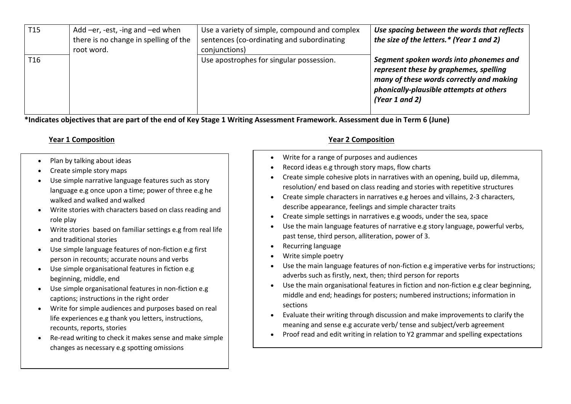| T <sub>15</sub> | Add -er, -est, -ing and -ed when<br>there is no change in spelling of the<br>root word. | Use a variety of simple, compound and complex<br>sentences (co-ordinating and subordinating<br>conjunctions) | Use spacing between the words that reflects<br>the size of the letters.* (Year 1 and 2)                                                                                                   |
|-----------------|-----------------------------------------------------------------------------------------|--------------------------------------------------------------------------------------------------------------|-------------------------------------------------------------------------------------------------------------------------------------------------------------------------------------------|
| T <sub>16</sub> |                                                                                         | Use apostrophes for singular possession.                                                                     | Segment spoken words into phonemes and<br>represent these by graphemes, spelling<br>many of these words correctly and making<br>phonically-plausible attempts at others<br>(Year 1 and 2) |

**\*Indicates objectives that are part of the end of Key Stage 1 Writing Assessment Framework. Assessment due in Term 6 (June)**

- Plan by talking about ideas
- Create simple story maps
- Use simple narrative language features such as story language e.g once upon a time; power of three e.g he walked and walked and walked
- Write stories with characters based on class reading and role play
- Write stories based on familiar settings e.g from real life and traditional stories
- Use simple language features of non-fiction e.g first person in recounts; accurate nouns and verbs
- Use simple organisational features in fiction e.g beginning, middle, end
- Use simple organisational features in non-fiction e.g captions; instructions in the right order
- Write for simple audiences and purposes based on real life experiences e.g thank you letters, instructions, recounts, reports, stories
- Re-read writing to check it makes sense and make simple changes as necessary e.g spotting omissions

# **Year 1 Composition Year 2 Composition**

- Write for a range of purposes and audiences
- Record ideas e.g through story maps, flow charts
- Create simple cohesive plots in narratives with an opening, build up, dilemma, resolution/ end based on class reading and stories with repetitive structures
- Create simple characters in narratives e.g heroes and villains, 2-3 characters, describe appearance, feelings and simple character traits
- Create simple settings in narratives e.g woods, under the sea, space
- Use the main language features of narrative e.g story language, powerful verbs, past tense, third person, alliteration, power of 3.
- Recurring language
- Write simple poetry
- Use the main language features of non-fiction e.g imperative verbs for instructions; adverbs such as firstly, next, then; third person for reports
- Use the main organisational features in fiction and non-fiction e.g clear beginning, middle and end; headings for posters; numbered instructions; information in sections
- Evaluate their writing through discussion and make improvements to clarify the meaning and sense e.g accurate verb/ tense and subject/verb agreement
- Proof read and edit writing in relation to Y2 grammar and spelling expectations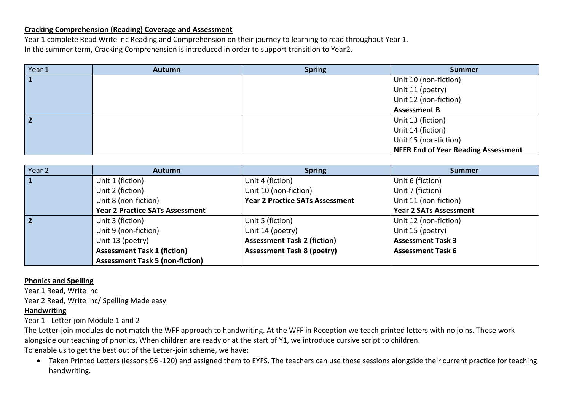### **Cracking Comprehension (Reading) Coverage and Assessment**

Year 1 complete Read Write inc Reading and Comprehension on their journey to learning to read throughout Year 1. In the summer term, Cracking Comprehension is introduced in order to support transition to Year2.

| Year 1 | <b>Autumn</b> | <b>Spring</b> | <b>Summer</b>                              |
|--------|---------------|---------------|--------------------------------------------|
|        |               |               | Unit 10 (non-fiction)                      |
|        |               |               | Unit 11 (poetry)                           |
|        |               |               | Unit 12 (non-fiction)                      |
|        |               |               | <b>Assessment B</b>                        |
|        |               |               | Unit 13 (fiction)                          |
|        |               |               | Unit 14 (fiction)                          |
|        |               |               | Unit 15 (non-fiction)                      |
|        |               |               | <b>NFER End of Year Reading Assessment</b> |

| Year 2         | <b>Autumn</b>                          | <b>Spring</b>                          | <b>Summer</b>                 |
|----------------|----------------------------------------|----------------------------------------|-------------------------------|
| 1              | Unit 1 (fiction)                       | Unit 4 (fiction)                       | Unit 6 (fiction)              |
|                | Unit 2 (fiction)                       | Unit 10 (non-fiction)                  | Unit 7 (fiction)              |
|                | Unit 8 (non-fiction)                   | <b>Year 2 Practice SATs Assessment</b> | Unit 11 (non-fiction)         |
|                | <b>Year 2 Practice SATs Assessment</b> |                                        | <b>Year 2 SATs Assessment</b> |
| $\overline{2}$ | Unit 3 (fiction)                       | Unit 5 (fiction)                       | Unit 12 (non-fiction)         |
|                | Unit 9 (non-fiction)                   | Unit 14 (poetry)                       | Unit 15 (poetry)              |
|                | Unit 13 (poetry)                       | <b>Assessment Task 2 (fiction)</b>     | <b>Assessment Task 3</b>      |
|                | <b>Assessment Task 1 (fiction)</b>     | <b>Assessment Task 8 (poetry)</b>      | <b>Assessment Task 6</b>      |
|                | <b>Assessment Task 5 (non-fiction)</b> |                                        |                               |

### **Phonics and Spelling**

Year 1 Read, Write Inc Year 2 Read, Write Inc/ Spelling Made easy

### **Handwriting**

Year 1 - Letter-join Module 1 and 2

The Letter-join modules do not match the WFF approach to handwriting. At the WFF in Reception we teach printed letters with no joins. These work alongside our teaching of phonics. When children are ready or at the start of Y1, we introduce cursive script to children.

To enable us to get the best out of the Letter-join scheme, we have:

 Taken Printed Letters (lessons 96 -120) and assigned them to EYFS. The teachers can use these sessions alongside their current practice for teaching handwriting.